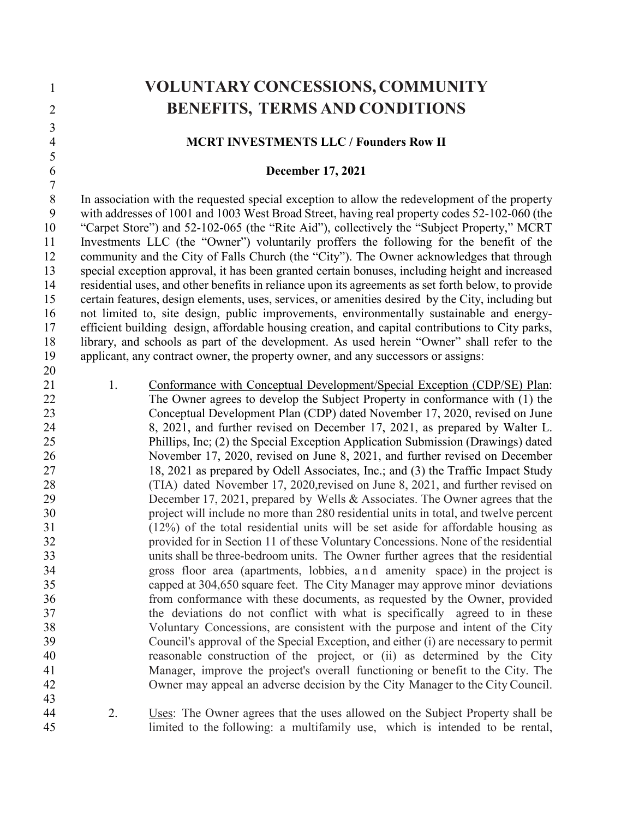| $\mathbf{1}$   |    | <b>VOLUNTARY CONCESSIONS, COMMUNITY</b>                                                                                                                         |
|----------------|----|-----------------------------------------------------------------------------------------------------------------------------------------------------------------|
| $\overline{2}$ |    | <b>BENEFITS, TERMS AND CONDITIONS</b>                                                                                                                           |
| $\mathfrak{Z}$ |    |                                                                                                                                                                 |
| $\overline{4}$ |    | <b>MCRT INVESTMENTS LLC / Founders Row II</b>                                                                                                                   |
| $\frac{5}{6}$  |    |                                                                                                                                                                 |
| $\overline{7}$ |    | <b>December 17, 2021</b>                                                                                                                                        |
| $\overline{8}$ |    | In association with the requested special exception to allow the redevelopment of the property                                                                  |
| $\mathbf{9}$   |    | with addresses of 1001 and 1003 West Broad Street, having real property codes 52-102-060 (the                                                                   |
| 10             |    | "Carpet Store") and 52-102-065 (the "Rite Aid"), collectively the "Subject Property," MCRT                                                                      |
| 11             |    | Investments LLC (the "Owner") voluntarily proffers the following for the benefit of the                                                                         |
| 12             |    | community and the City of Falls Church (the "City"). The Owner acknowledges that through                                                                        |
| 13             |    | special exception approval, it has been granted certain bonuses, including height and increased                                                                 |
| 14             |    | residential uses, and other benefits in reliance upon its agreements as set forth below, to provide                                                             |
| 15             |    | certain features, design elements, uses, services, or amenities desired by the City, including but                                                              |
| 16             |    | not limited to, site design, public improvements, environmentally sustainable and energy-                                                                       |
| 17             |    | efficient building design, affordable housing creation, and capital contributions to City parks,                                                                |
| 18             |    | library, and schools as part of the development. As used herein "Owner" shall refer to the                                                                      |
| 19             |    | applicant, any contract owner, the property owner, and any successors or assigns:                                                                               |
| 20             |    |                                                                                                                                                                 |
| 21             | 1. | Conformance with Conceptual Development/Special Exception (CDP/SE) Plan:                                                                                        |
| 22             |    | The Owner agrees to develop the Subject Property in conformance with (1) the                                                                                    |
| 23             |    | Conceptual Development Plan (CDP) dated November 17, 2020, revised on June                                                                                      |
| 24             |    | 8, 2021, and further revised on December 17, 2021, as prepared by Walter L.                                                                                     |
| 25             |    | Phillips, Inc; (2) the Special Exception Application Submission (Drawings) dated                                                                                |
| 26<br>27       |    | November 17, 2020, revised on June 8, 2021, and further revised on December<br>18, 2021 as prepared by Odell Associates, Inc.; and (3) the Traffic Impact Study |
| 28             |    | (TIA) dated November 17, 2020, revised on June 8, 2021, and further revised on                                                                                  |
| 29             |    | December 17, 2021, prepared by Wells & Associates. The Owner agrees that the                                                                                    |
| 30             |    | project will include no more than 280 residential units in total, and twelve percent                                                                            |
| 31             |    | $(12%)$ of the total residential units will be set aside for affordable housing as                                                                              |
| 32             |    | provided for in Section 11 of these Voluntary Concessions. None of the residential                                                                              |
| 33             |    | units shall be three-bedroom units. The Owner further agrees that the residential                                                                               |
| 34             |    | gross floor area (apartments, lobbies, and amenity space) in the project is                                                                                     |
| 35             |    | capped at 304,650 square feet. The City Manager may approve minor deviations                                                                                    |
| 36             |    | from conformance with these documents, as requested by the Owner, provided                                                                                      |
| 37             |    | the deviations do not conflict with what is specifically agreed to in these                                                                                     |
| 38             |    | Voluntary Concessions, are consistent with the purpose and intent of the City                                                                                   |
| 39             |    | Council's approval of the Special Exception, and either (i) are necessary to permit                                                                             |
| 40             |    | reasonable construction of the project, or (ii) as determined by the City                                                                                       |
| 41             |    | Manager, improve the project's overall functioning or benefit to the City. The                                                                                  |
| 42             |    | Owner may appeal an adverse decision by the City Manager to the City Council.                                                                                   |
| 43             |    |                                                                                                                                                                 |
| 44             | 2. | Uses: The Owner agrees that the uses allowed on the Subject Property shall be                                                                                   |
| 45             |    | limited to the following: a multifamily use, which is intended to be rental,                                                                                    |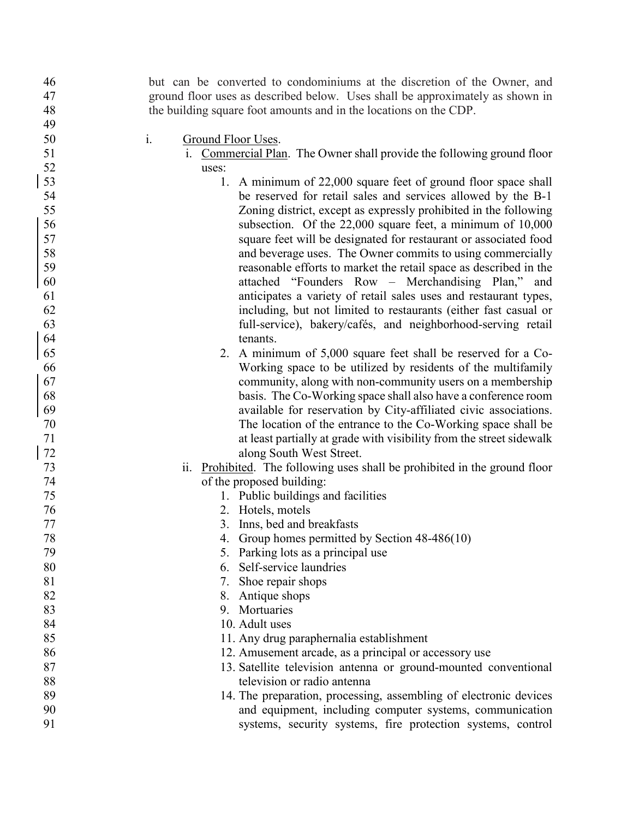| 46     | but can be converted to condominiums at the discretion of the Owner, and      |
|--------|-------------------------------------------------------------------------------|
| 47     | ground floor uses as described below. Uses shall be approximately as shown in |
| 48     | the building square foot amounts and in the locations on the CDP.             |
| 49     |                                                                               |
| 50     | i.<br>Ground Floor Uses.                                                      |
| 51     | i. Commercial Plan. The Owner shall provide the following ground floor        |
| 52     | uses:                                                                         |
| 53     | 1. A minimum of 22,000 square feet of ground floor space shall                |
| 54     | be reserved for retail sales and services allowed by the B-1                  |
| 55     | Zoning district, except as expressly prohibited in the following              |
| 56     | subsection. Of the 22,000 square feet, a minimum of 10,000                    |
| 57     | square feet will be designated for restaurant or associated food              |
| 58     | and beverage uses. The Owner commits to using commercially                    |
| 59     | reasonable efforts to market the retail space as described in the             |
| 60     | attached "Founders Row - Merchandising Plan," and                             |
| 61     | anticipates a variety of retail sales uses and restaurant types,              |
| 62     | including, but not limited to restaurants (either fast casual or              |
| 63     | full-service), bakery/cafés, and neighborhood-serving retail                  |
| 64     | tenants.                                                                      |
| 65     | 2. A minimum of 5,000 square feet shall be reserved for a Co-                 |
| 66     | Working space to be utilized by residents of the multifamily                  |
| 67     | community, along with non-community users on a membership                     |
| 68     | basis. The Co-Working space shall also have a conference room                 |
| 69     | available for reservation by City-affiliated civic associations.              |
| 70     | The location of the entrance to the Co-Working space shall be                 |
| 71     | at least partially at grade with visibility from the street sidewalk          |
| 72     | along South West Street.                                                      |
| 73     | ii. Prohibited. The following uses shall be prohibited in the ground floor    |
| 74     | of the proposed building:                                                     |
| 75     | 1. Public buildings and facilities                                            |
| 76     | 2. Hotels, motels                                                             |
| 77     | 3. Inns, bed and breakfasts                                                   |
| $78\,$ | 4. Group homes permitted by Section 48-486(10)                                |
| 79     | 5. Parking lots as a principal use                                            |
| 80     | 6. Self-service laundries                                                     |
| 81     | 7. Shoe repair shops                                                          |
| 82     | 8. Antique shops                                                              |
| 83     | 9. Mortuaries                                                                 |
| 84     | 10. Adult uses                                                                |
| 85     | 11. Any drug paraphernalia establishment                                      |
| 86     | 12. Amusement arcade, as a principal or accessory use                         |
| 87     | 13. Satellite television antenna or ground-mounted conventional               |
| 88     | television or radio antenna                                                   |
| 89     | 14. The preparation, processing, assembling of electronic devices             |
| 90     | and equipment, including computer systems, communication                      |
| 91     | systems, security systems, fire protection systems, control                   |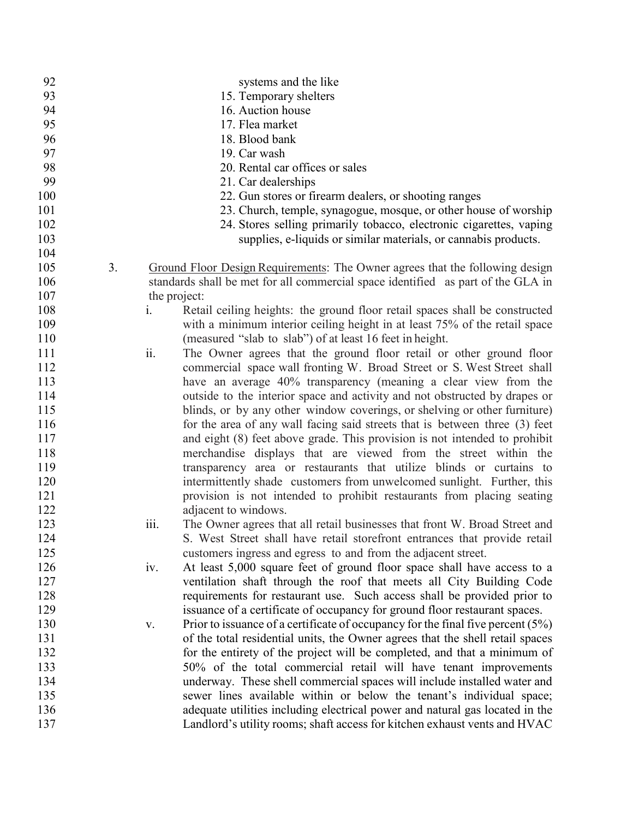| 92  |    |              | systems and the like                                                              |
|-----|----|--------------|-----------------------------------------------------------------------------------|
| 93  |    |              | 15. Temporary shelters                                                            |
| 94  |    |              | 16. Auction house                                                                 |
| 95  |    |              | 17. Flea market                                                                   |
| 96  |    |              | 18. Blood bank                                                                    |
| 97  |    |              | 19. Car wash                                                                      |
| 98  |    |              | 20. Rental car offices or sales                                                   |
| 99  |    |              | 21. Car dealerships                                                               |
| 100 |    |              | 22. Gun stores or firearm dealers, or shooting ranges                             |
| 101 |    |              | 23. Church, temple, synagogue, mosque, or other house of worship                  |
| 102 |    |              | 24. Stores selling primarily tobacco, electronic cigarettes, vaping               |
| 103 |    |              | supplies, e-liquids or similar materials, or cannabis products.                   |
| 104 |    |              |                                                                                   |
| 105 | 3. |              | Ground Floor Design Requirements: The Owner agrees that the following design      |
| 106 |    |              | standards shall be met for all commercial space identified as part of the GLA in  |
| 107 |    | the project: |                                                                                   |
| 108 |    | i.           | Retail ceiling heights: the ground floor retail spaces shall be constructed       |
| 109 |    |              | with a minimum interior ceiling height in at least 75% of the retail space        |
| 110 |    |              | (measured "slab to slab") of at least 16 feet in height.                          |
| 111 |    | ii.          | The Owner agrees that the ground floor retail or other ground floor               |
| 112 |    |              | commercial space wall fronting W. Broad Street or S. West Street shall            |
| 113 |    |              | have an average 40% transparency (meaning a clear view from the                   |
| 114 |    |              | outside to the interior space and activity and not obstructed by drapes or        |
| 115 |    |              | blinds, or by any other window coverings, or shelving or other furniture)         |
| 116 |    |              | for the area of any wall facing said streets that is between three (3) feet       |
| 117 |    |              | and eight (8) feet above grade. This provision is not intended to prohibit        |
| 118 |    |              | merchandise displays that are viewed from the street within the                   |
| 119 |    |              | transparency area or restaurants that utilize blinds or curtains to               |
| 120 |    |              | intermittently shade customers from unwelcomed sunlight. Further, this            |
| 121 |    |              | provision is not intended to prohibit restaurants from placing seating            |
| 122 |    |              | adjacent to windows.                                                              |
| 123 |    | iii.         | The Owner agrees that all retail businesses that front W. Broad Street and        |
| 124 |    |              | S. West Street shall have retail storefront entrances that provide retail         |
| 125 |    |              | customers ingress and egress to and from the adjacent street.                     |
| 126 |    | iv.          | At least 5,000 square feet of ground floor space shall have access to a           |
| 127 |    |              | ventilation shaft through the roof that meets all City Building Code              |
| 128 |    |              | requirements for restaurant use. Such access shall be provided prior to           |
| 129 |    |              | issuance of a certificate of occupancy for ground floor restaurant spaces.        |
| 130 |    | V.           | Prior to issuance of a certificate of occupancy for the final five percent $(5%)$ |
| 131 |    |              | of the total residential units, the Owner agrees that the shell retail spaces     |
| 132 |    |              | for the entirety of the project will be completed, and that a minimum of          |
| 133 |    |              | 50% of the total commercial retail will have tenant improvements                  |
| 134 |    |              | underway. These shell commercial spaces will include installed water and          |
| 135 |    |              | sewer lines available within or below the tenant's individual space;              |
| 136 |    |              | adequate utilities including electrical power and natural gas located in the      |
| 137 |    |              | Landlord's utility rooms; shaft access for kitchen exhaust vents and HVAC         |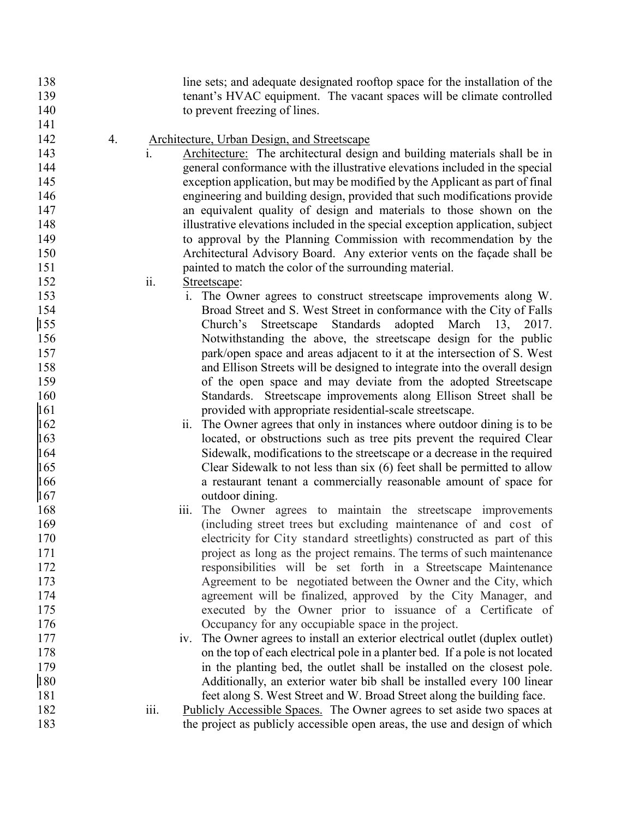line sets; and adequate designated rooftop space for the installation of the tenant's HVAC equipment. The vacant spaces will be climate controlled 140 to prevent freezing of lines.

4. Architecture, Urban Design, and Streetscape

- i. Architecture: The architectural design and building materials shall be in general conformance with the illustrative elevations included in the special exception application, but may be modified by the Applicant as part of final engineering and building design, provided that such modifications provide an equivalent quality of design and materials to those shown on the illustrative elevations included in the special exception application, subject to approval by the Planning Commission with recommendation by the Architectural Advisory Board. Any exterior vents on the façade shall be painted to match the color of the surrounding material.
- ii. Streetscape:
- i. The Owner agrees to construct streetscape improvements along W. Broad Street and S. West Street in conformance with the City of Falls Church's Streetscape Standards adopted March 13, 2017. Notwithstanding the above, the streetscape design for the public park/open space and areas adjacent to it at the intersection of S. West and Ellison Streets will be designed to integrate into the overall design of the open space and may deviate from the adopted Streetscape Standards. Streetscape improvements along Ellison Street shall be provided with appropriate residential-scale streetscape.
- ii. The Owner agrees that only in instances where outdoor dining is to be located, or obstructions such as tree pits prevent the required Clear Sidewalk, modifications to the streetscape or a decrease in the required Clear Sidewalk to not less than six (6) feet shall be permitted to allow a restaurant tenant a commercially reasonable amount of space for outdoor dining.
- iii. The Owner agrees to maintain the streetscape improvements (including street trees but excluding maintenance of and cost of electricity for City standard streetlights) constructed as part of this 171 project as long as the project remains. The terms of such maintenance responsibilities will be set forth in a Streetscape Maintenance Agreement to be negotiated between the Owner and the City, which agreement will be finalized, approved by the City Manager, and executed by the Owner prior to issuance of a Certificate of Occupancy for any occupiable space in the project.
- iv. The Owner agrees to install an exterior electrical outlet (duplex outlet) on the top of each electrical pole in a planter bed. If a pole is not located in the planting bed, the outlet shall be installed on the closest pole. Additionally, an exterior water bib shall be installed every 100 linear feet along S. West Street and W. Broad Street along the building face.
- iii. Publicly Accessible Spaces. The Owner agrees to set aside two spaces at the project as publicly accessible open areas, the use and design of which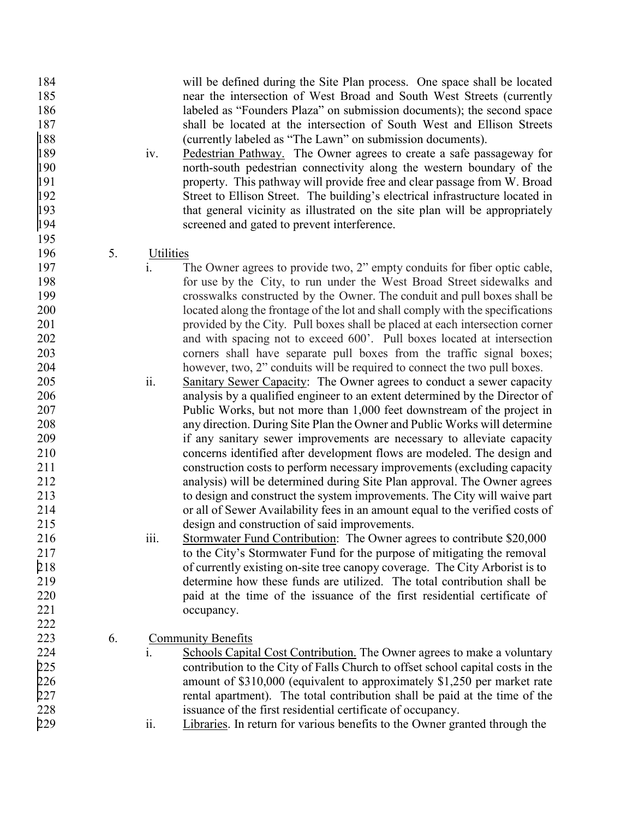| 184 |    | will be defined during the Site Plan process. One space shall be located                    |
|-----|----|---------------------------------------------------------------------------------------------|
| 185 |    | near the intersection of West Broad and South West Streets (currently                       |
| 186 |    | labeled as "Founders Plaza" on submission documents); the second space                      |
| 187 |    | shall be located at the intersection of South West and Ellison Streets                      |
| 188 |    | (currently labeled as "The Lawn" on submission documents).                                  |
| 189 |    | Pedestrian Pathway. The Owner agrees to create a safe passageway for<br>iv.                 |
| 190 |    | north-south pedestrian connectivity along the western boundary of the                       |
| 191 |    |                                                                                             |
| 192 |    | property. This pathway will provide free and clear passage from W. Broad                    |
|     |    | Street to Ellison Street. The building's electrical infrastructure located in               |
| 193 |    | that general vicinity as illustrated on the site plan will be appropriately                 |
| 194 |    | screened and gated to prevent interference.                                                 |
| 195 |    |                                                                                             |
| 196 | 5. | Utilities                                                                                   |
| 197 |    | $\mathbf{i}$ .<br>The Owner agrees to provide two, 2" empty conduits for fiber optic cable, |
| 198 |    | for use by the City, to run under the West Broad Street sidewalks and                       |
| 199 |    | crosswalks constructed by the Owner. The conduit and pull boxes shall be                    |
| 200 |    | located along the frontage of the lot and shall comply with the specifications              |
| 201 |    | provided by the City. Pull boxes shall be placed at each intersection corner                |
| 202 |    | and with spacing not to exceed 600'. Pull boxes located at intersection                     |
| 203 |    | corners shall have separate pull boxes from the traffic signal boxes;                       |
| 204 |    | however, two, 2" conduits will be required to connect the two pull boxes.                   |
| 205 |    | ii.<br>Sanitary Sewer Capacity: The Owner agrees to conduct a sewer capacity                |
| 206 |    | analysis by a qualified engineer to an extent determined by the Director of                 |
| 207 |    | Public Works, but not more than 1,000 feet downstream of the project in                     |
| 208 |    | any direction. During Site Plan the Owner and Public Works will determine                   |
| 209 |    |                                                                                             |
|     |    | if any sanitary sewer improvements are necessary to alleviate capacity                      |
| 210 |    | concerns identified after development flows are modeled. The design and                     |
| 211 |    | construction costs to perform necessary improvements (excluding capacity                    |
| 212 |    | analysis) will be determined during Site Plan approval. The Owner agrees                    |
| 213 |    | to design and construct the system improvements. The City will waive part                   |
| 214 |    | or all of Sewer Availability fees in an amount equal to the verified costs of               |
| 215 |    | design and construction of said improvements.                                               |
| 216 |    | Stormwater Fund Contribution: The Owner agrees to contribute \$20,000<br>111.               |
| 217 |    | to the City's Stormwater Fund for the purpose of mitigating the removal                     |
| 218 |    | of currently existing on-site tree canopy coverage. The City Arborist is to                 |
| 219 |    | determine how these funds are utilized. The total contribution shall be                     |
| 220 |    | paid at the time of the issuance of the first residential certificate of                    |
| 221 |    | occupancy.                                                                                  |
| 222 |    |                                                                                             |
| 223 | 6. | <b>Community Benefits</b>                                                                   |
| 224 |    | i.<br>Schools Capital Cost Contribution. The Owner agrees to make a voluntary               |
| 225 |    | contribution to the City of Falls Church to offset school capital costs in the              |
| 226 |    | amount of \$310,000 (equivalent to approximately \$1,250 per market rate                    |
| 227 |    | rental apartment). The total contribution shall be paid at the time of the                  |
| 228 |    | issuance of the first residential certificate of occupancy.                                 |
|     |    | ii.                                                                                         |
| 229 |    | Libraries. In return for various benefits to the Owner granted through the                  |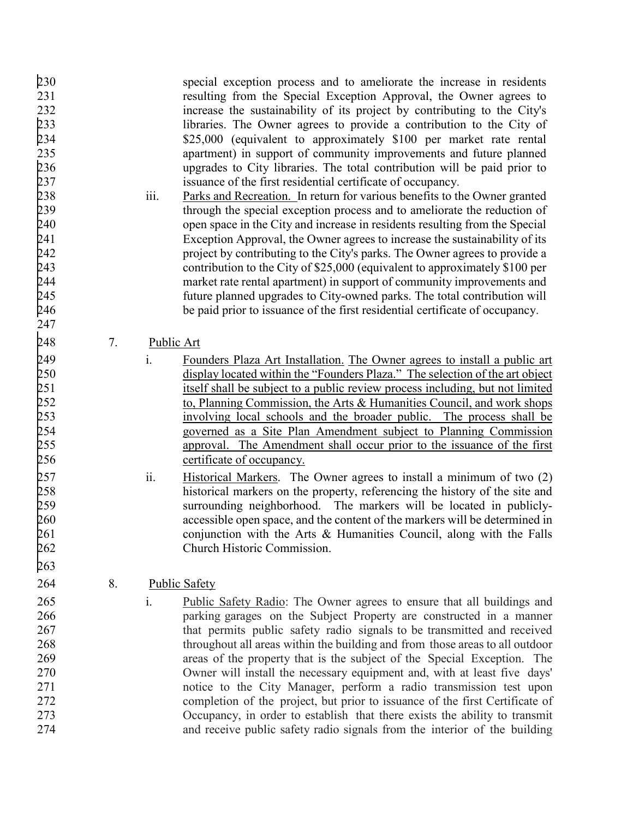- 230 special exception process and to ameliorate the increase in residents 231 resulting from the Special Exception Approval, the Owner agrees to 232 increase the sustainability of its project by contributing to the City's 233 libraries. The Owner agrees to provide a contribution to the City of 234 \$25,000 (equivalent to approximately \$100 per market rate rental \$25,000 (equivalent to approximately \$100 per market rate rental 235 apartment) in support of community improvements and future planned 236 upgrades to City libraries. The total contribution will be paid prior to 237 issuance of the first residential certificate of occupancy.
- 238 iii. Parks and Recreation. In return for various benefits to the Owner granted<br>239 through the special exception process and to ameliorate the reduction of 239 through the special exception process and to ameliorate the reduction of open space in the City and increase in residents resulting from the Special 240 open space in the City and increase in residents resulting from the Special 241 Exception Approval, the Owner agrees to increase the sustainability of its 242 project by contributing to the City's parks. The Owner agrees to provide a<br>243 contribution to the City of \$25,000 (equivalent to approximately \$100 per 243 contribution to the City of \$25,000 (equivalent to approximately \$100 per<br>244 market rate rental apartment) in support of community improvements and 244 market rate rental apartment) in support of community improvements and<br>245 the state planned upgrades to City-owned parks. The total contribution will future planned upgrades to City-owned parks. The total contribution will 246 be paid prior to issuance of the first residential certificate of occupancy.
- 248 7. Public Art

247

263

- 249 i. Founders Plaza Art Installation. The Owner agrees to install a public art 250 display located within the "Founders Plaza." The selection of the art object<br>251 tiself shall be subject to a public review process including, but not limited itself shall be subject to a public review process including, but not limited 252 to, Planning Commission, the Arts & Humanities Council, and work shops<br>253 the process shall be involving local schools and the broader public. The process shall be involving local schools and the broader public. The process shall be 254 governed as a Site Plan Amendment subject to Planning Commission<br>255 approval. The Amendment shall occur prior to the issuance of the first approval. The Amendment shall occur prior to the issuance of the first 256 certificate of occupancy.
- 257 ii. Historical Markers. The Owner agrees to install a minimum of two (2)<br>258 historical markers on the property, referencing the history of the site and historical markers on the property, referencing the history of the site and 259 surrounding neighborhood. The markers will be located in publicly-260 accessible open space, and the content of the markers will be determined in 261 conjunction with the Arts & Humanities Council, along with the Falls 262 Church Historic Commission.
- 264 8. Public Safety
- 265 i. Public Safety Radio: The Owner agrees to ensure that all buildings and 266 parking garages on the Subject Property are constructed in a manner 267 that permits public safety radio signals to be transmitted and received 268 throughout all areas within the building and from those areas to all outdoor 269 areas of the property that is the subject of the Special Exception. The 270 Owner will install the necessary equipment and, with at least five days' 271 notice to the City Manager, perform a radio transmission test upon 272 completion of the project, but prior to issuance of the first Certificate of 273 Occupancy, in order to establish that there exists the ability to transmit 274 and receive public safety radio signals from the interior of the building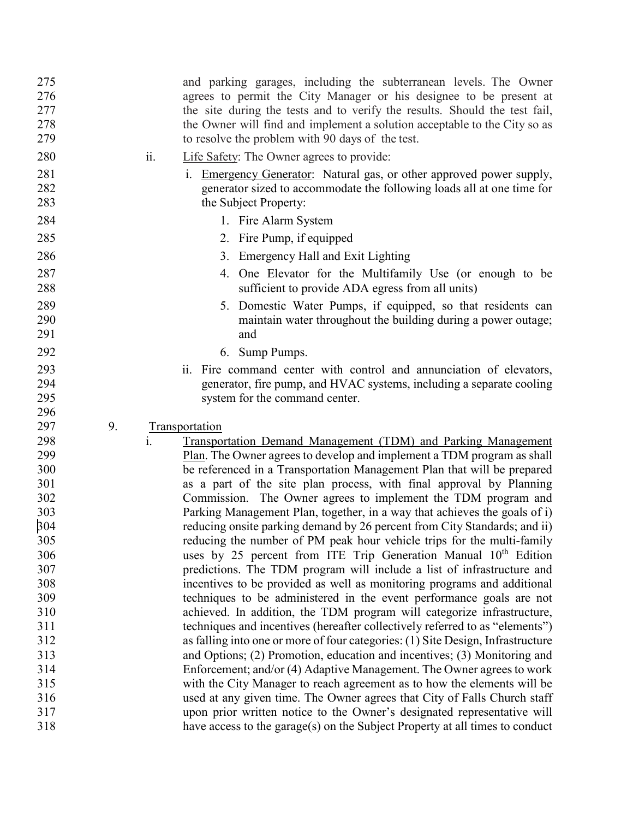| 275        |    |     | and parking garages, including the subterranean levels. The Owner                                                                                       |
|------------|----|-----|---------------------------------------------------------------------------------------------------------------------------------------------------------|
| 276        |    |     | agrees to permit the City Manager or his designee to be present at                                                                                      |
| 277        |    |     | the site during the tests and to verify the results. Should the test fail,                                                                              |
| 278        |    |     | the Owner will find and implement a solution acceptable to the City so as                                                                               |
| 279        |    |     | to resolve the problem with 90 days of the test.                                                                                                        |
|            |    |     |                                                                                                                                                         |
| 280        |    | ii. | Life Safety: The Owner agrees to provide:                                                                                                               |
| 281        |    |     | Emergency Generator: Natural gas, or other approved power supply,<br>$\mathbf{1}$ .                                                                     |
| 282        |    |     | generator sized to accommodate the following loads all at one time for                                                                                  |
| 283        |    |     | the Subject Property:                                                                                                                                   |
| 284        |    |     | 1. Fire Alarm System                                                                                                                                    |
| 285        |    |     | 2. Fire Pump, if equipped                                                                                                                               |
| 286        |    |     | 3. Emergency Hall and Exit Lighting                                                                                                                     |
| 287        |    |     | 4. One Elevator for the Multifamily Use (or enough to be                                                                                                |
| 288        |    |     | sufficient to provide ADA egress from all units)                                                                                                        |
| 289        |    |     | 5. Domestic Water Pumps, if equipped, so that residents can                                                                                             |
| 290        |    |     | maintain water throughout the building during a power outage;                                                                                           |
| 291        |    |     | and                                                                                                                                                     |
| 292        |    |     | 6. Sump Pumps.                                                                                                                                          |
| 293        |    |     | ii. Fire command center with control and annunciation of elevators,                                                                                     |
| 294        |    |     | generator, fire pump, and HVAC systems, including a separate cooling                                                                                    |
| 295        |    |     |                                                                                                                                                         |
|            |    |     |                                                                                                                                                         |
| 296        |    |     | system for the command center.                                                                                                                          |
| 297        | 9. |     |                                                                                                                                                         |
|            |    | i.  | Transportation                                                                                                                                          |
| 298<br>299 |    |     | <b>Transportation Demand Management (TDM) and Parking Management</b>                                                                                    |
| 300        |    |     | Plan. The Owner agrees to develop and implement a TDM program as shall                                                                                  |
| 301        |    |     | be referenced in a Transportation Management Plan that will be prepared                                                                                 |
| 302        |    |     | as a part of the site plan process, with final approval by Planning                                                                                     |
| 303        |    |     | Commission. The Owner agrees to implement the TDM program and<br>Parking Management Plan, together, in a way that achieves the goals of i)              |
|            |    |     |                                                                                                                                                         |
| 304<br>305 |    |     | reducing onsite parking demand by 26 percent from City Standards; and ii)                                                                               |
|            |    |     | reducing the number of PM peak hour vehicle trips for the multi-family                                                                                  |
| 306        |    |     | uses by 25 percent from ITE Trip Generation Manual 10 <sup>th</sup> Edition                                                                             |
| 307        |    |     | predictions. The TDM program will include a list of infrastructure and                                                                                  |
| 308        |    |     | incentives to be provided as well as monitoring programs and additional                                                                                 |
| 309        |    |     | techniques to be administered in the event performance goals are not                                                                                    |
| 310        |    |     | achieved. In addition, the TDM program will categorize infrastructure,                                                                                  |
| 311        |    |     | techniques and incentives (hereafter collectively referred to as "elements")                                                                            |
| 312        |    |     | as falling into one or more of four categories: (1) Site Design, Infrastructure                                                                         |
| 313        |    |     | and Options; (2) Promotion, education and incentives; (3) Monitoring and                                                                                |
| 314        |    |     | Enforcement; and/or (4) Adaptive Management. The Owner agrees to work                                                                                   |
| 315        |    |     | with the City Manager to reach agreement as to how the elements will be                                                                                 |
| 316        |    |     | used at any given time. The Owner agrees that City of Falls Church staff                                                                                |
| 317<br>318 |    |     | upon prior written notice to the Owner's designated representative will<br>have access to the garage(s) on the Subject Property at all times to conduct |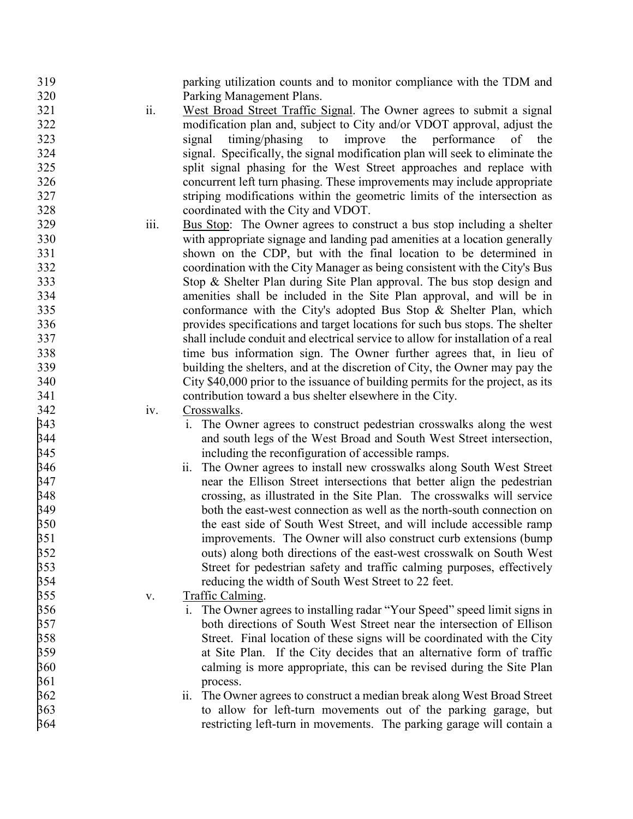| 319 |      | parking utilization counts and to monitor compliance with the TDM and            |
|-----|------|----------------------------------------------------------------------------------|
| 320 |      | Parking Management Plans.                                                        |
| 321 | ii.  | West Broad Street Traffic Signal. The Owner agrees to submit a signal            |
| 322 |      | modification plan and, subject to City and/or VDOT approval, adjust the          |
| 323 |      | improve the performance<br>timing/phasing to<br>signal<br>of the                 |
| 324 |      | signal. Specifically, the signal modification plan will seek to eliminate the    |
| 325 |      | split signal phasing for the West Street approaches and replace with             |
| 326 |      | concurrent left turn phasing. These improvements may include appropriate         |
| 327 |      | striping modifications within the geometric limits of the intersection as        |
| 328 |      | coordinated with the City and VDOT.                                              |
| 329 | iii. | Bus Stop: The Owner agrees to construct a bus stop including a shelter           |
| 330 |      | with appropriate signage and landing pad amenities at a location generally       |
| 331 |      |                                                                                  |
|     |      | shown on the CDP, but with the final location to be determined in                |
| 332 |      | coordination with the City Manager as being consistent with the City's Bus       |
| 333 |      | Stop & Shelter Plan during Site Plan approval. The bus stop design and           |
| 334 |      | amenities shall be included in the Site Plan approval, and will be in            |
| 335 |      | conformance with the City's adopted Bus Stop & Shelter Plan, which               |
| 336 |      | provides specifications and target locations for such bus stops. The shelter     |
| 337 |      | shall include conduit and electrical service to allow for installation of a real |
| 338 |      | time bus information sign. The Owner further agrees that, in lieu of             |
| 339 |      | building the shelters, and at the discretion of City, the Owner may pay the      |
| 340 |      | City \$40,000 prior to the issuance of building permits for the project, as its  |
| 341 |      | contribution toward a bus shelter elsewhere in the City.                         |
| 342 | iv.  | Crosswalks.                                                                      |
| 343 |      | i. The Owner agrees to construct pedestrian crosswalks along the west            |
| 344 |      | and south legs of the West Broad and South West Street intersection,             |
| 345 |      | including the reconfiguration of accessible ramps.                               |
| 346 |      | ii. The Owner agrees to install new crosswalks along South West Street           |
| 347 |      | near the Ellison Street intersections that better align the pedestrian           |
| 348 |      | crossing, as illustrated in the Site Plan. The crosswalks will service           |
| 349 |      | both the east-west connection as well as the north-south connection on           |
| 350 |      | the east side of South West Street, and will include accessible ramp             |
| 351 |      | improvements. The Owner will also construct curb extensions (bump                |
| 352 |      | outs) along both directions of the east-west crosswalk on South West             |
| 353 |      | Street for pedestrian safety and traffic calming purposes, effectively           |
| 354 |      | reducing the width of South West Street to 22 feet.                              |
| 355 | V.   | <b>Traffic Calming.</b>                                                          |
| 356 |      | i. The Owner agrees to installing radar "Your Speed" speed limit signs in        |
| 357 |      | both directions of South West Street near the intersection of Ellison            |
| 358 |      | Street. Final location of these signs will be coordinated with the City          |
| 359 |      | at Site Plan. If the City decides that an alternative form of traffic            |
| 360 |      |                                                                                  |
| 361 |      | calming is more appropriate, this can be revised during the Site Plan            |
|     |      | process.                                                                         |
| 362 |      | The Owner agrees to construct a median break along West Broad Street<br>11.      |
| 363 |      | to allow for left-turn movements out of the parking garage, but                  |
| 364 |      | restricting left-turn in movements. The parking garage will contain a            |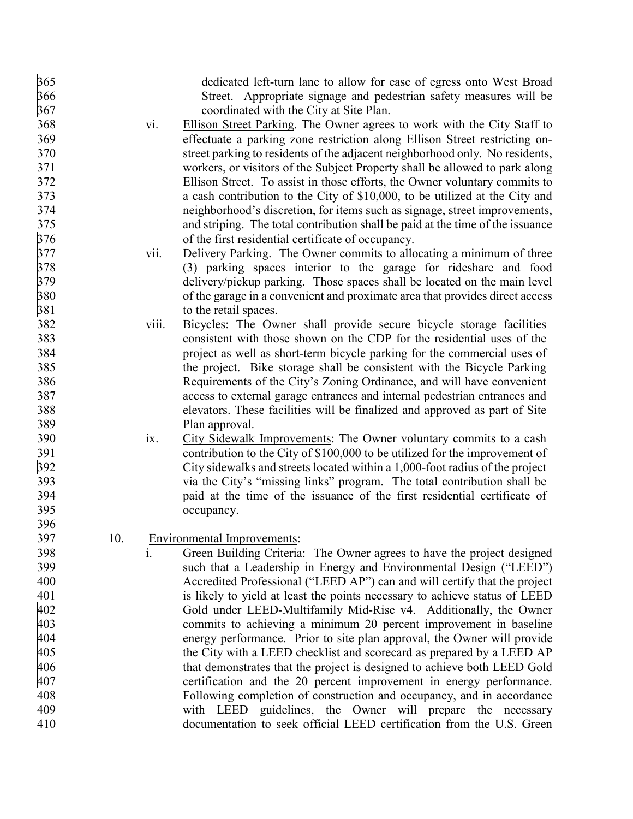| 365 |     |       | dedicated left-turn lane to allow for ease of egress onto West Broad           |
|-----|-----|-------|--------------------------------------------------------------------------------|
| 366 |     |       | Street. Appropriate signage and pedestrian safety measures will be             |
| 367 |     |       | coordinated with the City at Site Plan.                                        |
| 368 |     | vi.   | <b>Ellison Street Parking.</b> The Owner agrees to work with the City Staff to |
| 369 |     |       | effectuate a parking zone restriction along Ellison Street restricting on-     |
| 370 |     |       | street parking to residents of the adjacent neighborhood only. No residents,   |
| 371 |     |       | workers, or visitors of the Subject Property shall be allowed to park along    |
| 372 |     |       | Ellison Street. To assist in those efforts, the Owner voluntary commits to     |
| 373 |     |       | a cash contribution to the City of \$10,000, to be utilized at the City and    |
| 374 |     |       | neighborhood's discretion, for items such as signage, street improvements,     |
| 375 |     |       | and striping. The total contribution shall be paid at the time of the issuance |
| 376 |     |       | of the first residential certificate of occupancy.                             |
| 377 |     | vii.  | Delivery Parking. The Owner commits to allocating a minimum of three           |
| 378 |     |       | (3) parking spaces interior to the garage for rideshare and food               |
| 379 |     |       | delivery/pickup parking. Those spaces shall be located on the main level       |
| 380 |     |       | of the garage in a convenient and proximate area that provides direct access   |
| 381 |     |       | to the retail spaces.                                                          |
| 382 |     | viii. | Bicycles: The Owner shall provide secure bicycle storage facilities            |
| 383 |     |       | consistent with those shown on the CDP for the residential uses of the         |
| 384 |     |       |                                                                                |
| 385 |     |       | project as well as short-term bicycle parking for the commercial uses of       |
|     |     |       | the project. Bike storage shall be consistent with the Bicycle Parking         |
| 386 |     |       | Requirements of the City's Zoning Ordinance, and will have convenient          |
| 387 |     |       | access to external garage entrances and internal pedestrian entrances and      |
| 388 |     |       | elevators. These facilities will be finalized and approved as part of Site     |
| 389 |     |       | Plan approval.                                                                 |
| 390 |     | ix.   | City Sidewalk Improvements: The Owner voluntary commits to a cash              |
| 391 |     |       | contribution to the City of \$100,000 to be utilized for the improvement of    |
| 392 |     |       | City sidewalks and streets located within a 1,000-foot radius of the project   |
| 393 |     |       | via the City's "missing links" program. The total contribution shall be        |
| 394 |     |       | paid at the time of the issuance of the first residential certificate of       |
| 395 |     |       | occupancy.                                                                     |
| 396 |     |       |                                                                                |
| 397 | 10. |       | <b>Environmental Improvements:</b>                                             |
| 398 |     | 1.    | Green Building Criteria: The Owner agrees to have the project designed         |
| 399 |     |       | such that a Leadership in Energy and Environmental Design ("LEED")             |
| 400 |     |       | Accredited Professional ("LEED AP") can and will certify that the project      |
| 401 |     |       | is likely to yield at least the points necessary to achieve status of LEED     |
| 402 |     |       | Gold under LEED-Multifamily Mid-Rise v4. Additionally, the Owner               |
| 403 |     |       | commits to achieving a minimum 20 percent improvement in baseline              |
| 404 |     |       | energy performance. Prior to site plan approval, the Owner will provide        |
| 405 |     |       | the City with a LEED checklist and scorecard as prepared by a LEED AP          |
| 406 |     |       | that demonstrates that the project is designed to achieve both LEED Gold       |
| 407 |     |       | certification and the 20 percent improvement in energy performance.            |
| 408 |     |       | Following completion of construction and occupancy, and in accordance          |
| 409 |     |       | with LEED guidelines, the Owner will prepare the necessary                     |
| 410 |     |       | documentation to seek official LEED certification from the U.S. Green          |
|     |     |       |                                                                                |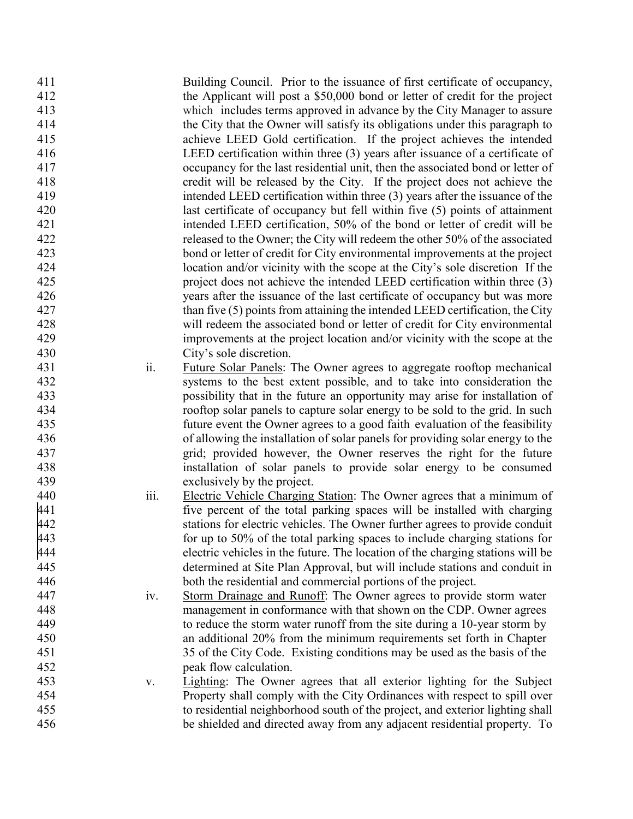Building Council. Prior to the issuance of first certificate of occupancy, the Applicant will post a \$50,000 bond or letter of credit for the project which includes terms approved in advance by the City Manager to assure the City that the Owner will satisfy its obligations under this paragraph to achieve LEED Gold certification. If the project achieves the intended LEED certification within three (3) years after issuance of a certificate of occupancy for the last residential unit, then the associated bond or letter of credit will be released by the City. If the project does not achieve the intended LEED certification within three (3) years after the issuance of the last certificate of occupancy but fell within five (5) points of attainment intended LEED certification, 50% of the bond or letter of credit will be released to the Owner; the City will redeem the other 50% of the associated bond or letter of credit for City environmental improvements at the project location and/or vicinity with the scope at the City's sole discretion If the project does not achieve the intended LEED certification within three (3) years after the issuance of the last certificate of occupancy but was more than five (5) points from attaining the intended LEED certification, the City will redeem the associated bond or letter of credit for City environmental improvements at the project location and/or vicinity with the scope at the City's sole discretion. ii. Future Solar Panels: The Owner agrees to aggregate rooftop mechanical systems to the best extent possible, and to take into consideration the possibility that in the future an opportunity may arise for installation of rooftop solar panels to capture solar energy to be sold to the grid. In such future event the Owner agrees to a good faith evaluation of the feasibility of allowing the installation of solar panels for providing solar energy to the grid; provided however, the Owner reserves the right for the future installation of solar panels to provide solar energy to be consumed exclusively by the project . iii. Electric Vehicle Charging Station: The Owner agrees that a minimum of five percent of the total parking spaces will be installed with charging stations for electric vehicles . The Owner further agrees to provide conduit 443 for up to 50% of the total parking spaces to include charging stations for<br>444 electric vehicles in the future. The location of the charging stations will be electric vehicles in the future. The location of the charging station s will be determined at Site Plan Approval, but will include stations and conduit in both the residential and commercial portions of the project . iv. Storm Drainage and Runoff: The Owner agrees to provide storm water management in conformance with that shown on the CDP. Owner agrees to reduce the storm water runoff from the site during a 10 -year storm by an additional 20% from the minimum requirements set forth in Chapter 35 of the City Code. Existing conditions may be used as the basis of the peak flow calculation. v. Lighting: The Owner agrees that all exterior lighting for the Subject Property shall comply with the City Ordinances with respect to spill over to residential neighborhood south of the project, and exterior lighting shall be shielded and directed away from any adjacent residential property. To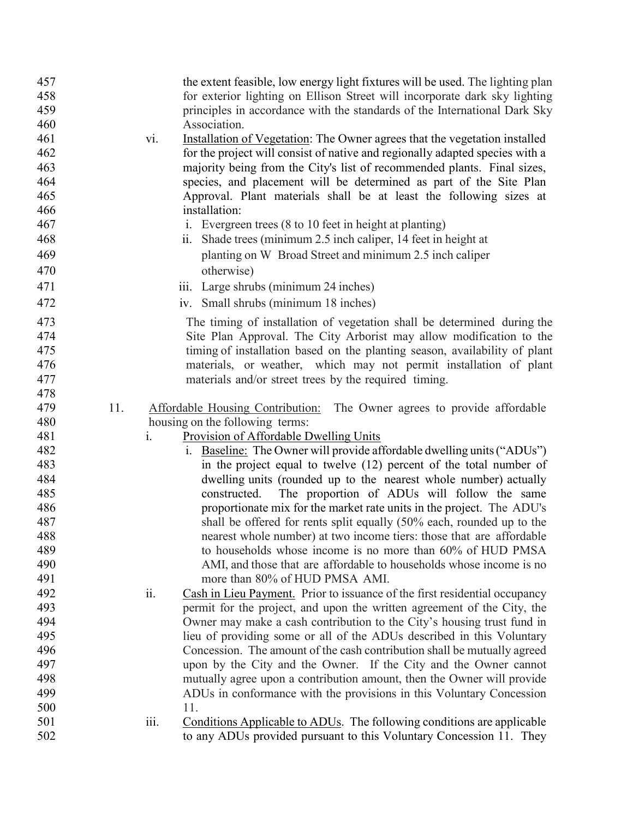| 457        |     |                | the extent feasible, low energy light fixtures will be used. The lighting plan                                                         |
|------------|-----|----------------|----------------------------------------------------------------------------------------------------------------------------------------|
| 458        |     |                | for exterior lighting on Ellison Street will incorporate dark sky lighting                                                             |
| 459        |     |                | principles in accordance with the standards of the International Dark Sky                                                              |
| 460        |     |                | Association.                                                                                                                           |
| 461        |     | vi.            | Installation of Vegetation: The Owner agrees that the vegetation installed                                                             |
| 462        |     |                | for the project will consist of native and regionally adapted species with a                                                           |
| 463        |     |                | majority being from the City's list of recommended plants. Final sizes,                                                                |
| 464        |     |                | species, and placement will be determined as part of the Site Plan                                                                     |
| 465        |     |                | Approval. Plant materials shall be at least the following sizes at                                                                     |
| 466        |     |                | installation:                                                                                                                          |
| 467        |     |                | i. Evergreen trees (8 to 10 feet in height at planting)                                                                                |
| 468        |     |                | Shade trees (minimum 2.5 inch caliper, 14 feet in height at<br>ii.                                                                     |
| 469        |     |                | planting on W Broad Street and minimum 2.5 inch caliper                                                                                |
| 470        |     |                | otherwise)                                                                                                                             |
| 471        |     |                | iii. Large shrubs (minimum 24 inches)                                                                                                  |
| 472        |     |                | iv. Small shrubs (minimum 18 inches)                                                                                                   |
|            |     |                |                                                                                                                                        |
| 473        |     |                | The timing of installation of vegetation shall be determined during the                                                                |
| 474        |     |                | Site Plan Approval. The City Arborist may allow modification to the                                                                    |
| 475        |     |                | timing of installation based on the planting season, availability of plant                                                             |
| 476        |     |                | materials, or weather, which may not permit installation of plant                                                                      |
| 477        |     |                | materials and/or street trees by the required timing.                                                                                  |
| 478        |     |                |                                                                                                                                        |
| 479        | 11. |                | Affordable Housing Contribution: The Owner agrees to provide affordable                                                                |
| 480        |     |                | housing on the following terms:                                                                                                        |
| 481        |     | $\mathbf{i}$ . | Provision of Affordable Dwelling Units                                                                                                 |
| 482<br>483 |     |                | i. Baseline: The Owner will provide affordable dwelling units ("ADUs")                                                                 |
| 484        |     |                | in the project equal to twelve (12) percent of the total number of<br>dwelling units (rounded up to the nearest whole number) actually |
| 485        |     |                | The proportion of ADUs will follow the same<br>constructed.                                                                            |
| 486        |     |                | proportionate mix for the market rate units in the project. The ADU's                                                                  |
| 487        |     |                | shall be offered for rents split equally (50% each, rounded up to the                                                                  |
| 488        |     |                | nearest whole number) at two income tiers: those that are affordable                                                                   |
| 489        |     |                | to households whose income is no more than 60% of HUD PMSA                                                                             |
| 490        |     |                | AMI, and those that are affordable to households whose income is no                                                                    |
| 491        |     |                | more than 80% of HUD PMSA AMI.                                                                                                         |
| 492        |     | ii.            | Cash in Lieu Payment. Prior to issuance of the first residential occupancy                                                             |
| 493        |     |                | permit for the project, and upon the written agreement of the City, the                                                                |
| 494        |     |                | Owner may make a cash contribution to the City's housing trust fund in                                                                 |
| 495        |     |                | lieu of providing some or all of the ADUs described in this Voluntary                                                                  |
| 496        |     |                | Concession. The amount of the cash contribution shall be mutually agreed                                                               |
| 497        |     |                | upon by the City and the Owner. If the City and the Owner cannot                                                                       |
| 498        |     |                | mutually agree upon a contribution amount, then the Owner will provide                                                                 |
| 499        |     |                | ADUs in conformance with the provisions in this Voluntary Concession                                                                   |
| 500        |     |                | 11.                                                                                                                                    |
| 501        |     | iii.           | Conditions Applicable to ADUs. The following conditions are applicable                                                                 |
| 502        |     |                | to any ADUs provided pursuant to this Voluntary Concession 11. They                                                                    |
|            |     |                |                                                                                                                                        |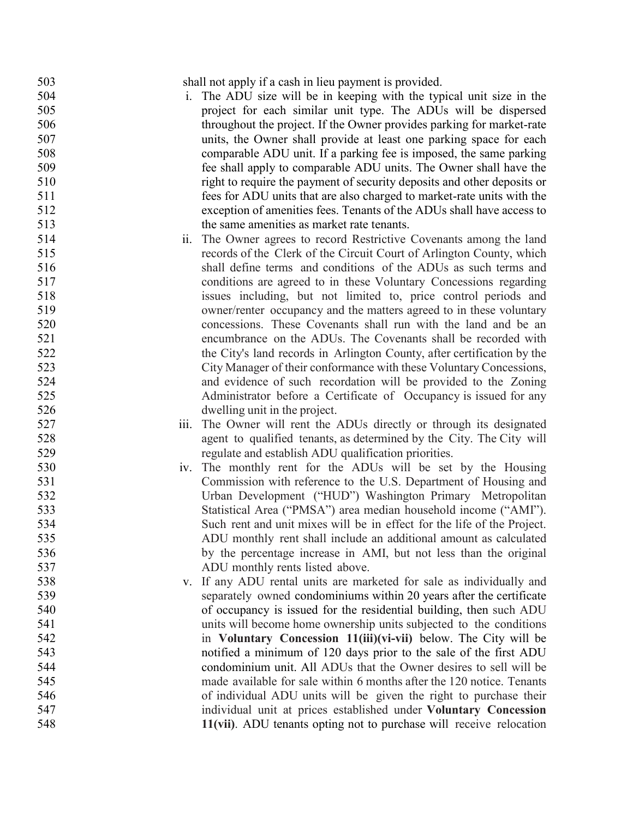| 503 |      | shall not apply if a cash in lieu payment is provided.                  |
|-----|------|-------------------------------------------------------------------------|
| 504 | 1.   | The ADU size will be in keeping with the typical unit size in the       |
| 505 |      | project for each similar unit type. The ADUs will be dispersed          |
| 506 |      | throughout the project. If the Owner provides parking for market-rate   |
| 507 |      | units, the Owner shall provide at least one parking space for each      |
| 508 |      | comparable ADU unit. If a parking fee is imposed, the same parking      |
| 509 |      | fee shall apply to comparable ADU units. The Owner shall have the       |
| 510 |      | right to require the payment of security deposits and other deposits or |
| 511 |      | fees for ADU units that are also charged to market-rate units with the  |
| 512 |      | exception of amenities fees. Tenants of the ADUs shall have access to   |
| 513 |      | the same amenities as market rate tenants.                              |
| 514 | 11.  | The Owner agrees to record Restrictive Covenants among the land         |
| 515 |      | records of the Clerk of the Circuit Court of Arlington County, which    |
| 516 |      | shall define terms and conditions of the ADUs as such terms and         |
| 517 |      | conditions are agreed to in these Voluntary Concessions regarding       |
| 518 |      | issues including, but not limited to, price control periods and         |
| 519 |      | owner/renter occupancy and the matters agreed to in these voluntary     |
| 520 |      | concessions. These Covenants shall run with the land and be an          |
| 521 |      | encumbrance on the ADUs. The Covenants shall be recorded with           |
| 522 |      | the City's land records in Arlington County, after certification by the |
| 523 |      | City Manager of their conformance with these Voluntary Concessions,     |
| 524 |      | and evidence of such recordation will be provided to the Zoning         |
| 525 |      | Administrator before a Certificate of Occupancy is issued for any       |
| 526 |      | dwelling unit in the project.                                           |
| 527 | iii. | The Owner will rent the ADUs directly or through its designated         |
| 528 |      | agent to qualified tenants, as determined by the City. The City will    |
| 529 |      | regulate and establish ADU qualification priorities.                    |
| 530 |      | The monthly rent for the ADUs will be set by the Housing                |
| 531 | 1V.  | Commission with reference to the U.S. Department of Housing and         |
| 532 |      | Urban Development ("HUD") Washington Primary Metropolitan               |
| 533 |      | Statistical Area ("PMSA") area median household income ("AMI").         |
| 534 |      |                                                                         |
|     |      | Such rent and unit mixes will be in effect for the life of the Project. |
| 535 |      | ADU monthly rent shall include an additional amount as calculated       |
| 536 |      | by the percentage increase in AMI, but not less than the original       |
| 537 |      | ADU monthly rents listed above.                                         |
| 538 |      | v. If any ADU rental units are marketed for sale as individually and    |
| 539 |      | separately owned condominiums within 20 years after the certificate     |
| 540 |      | of occupancy is issued for the residential building, then such ADU      |
| 541 |      | units will become home ownership units subjected to the conditions      |
| 542 |      | in Voluntary Concession 11(iii)(vi-vii) below. The City will be         |
| 543 |      | notified a minimum of 120 days prior to the sale of the first ADU       |
| 544 |      | condominium unit. All ADUs that the Owner desires to sell will be       |
| 545 |      | made available for sale within 6 months after the 120 notice. Tenants   |
| 546 |      | of individual ADU units will be given the right to purchase their       |
| 547 |      | individual unit at prices established under Voluntary Concession        |
| 548 |      | 11(vii). ADU tenants opting not to purchase will receive relocation     |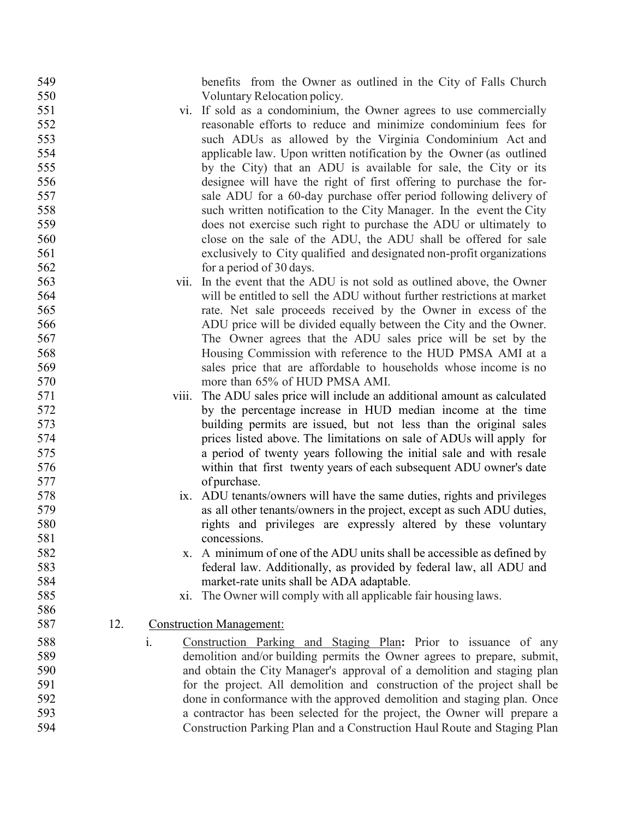benefits from the Owner as outlined in the City of Falls Church Voluntary Relocation policy.

- vi. If sold as a condominium, the Owner agrees to use commercially reasonable efforts to reduce and minimize condominium fees for such ADUs as allowed by the Virginia Condominium Act and applicable law. Upon written notification by the Owner (as outlined by the City) that an ADU is available for sale, the City or its designee will have the right of first offering to purchase the for- sale ADU for a 60-day purchase offer period following delivery of such written notification to the City Manager. In the event the City does not exercise such right to purchase the ADU or ultimately to close on the sale of the ADU, the ADU shall be offered for sale exclusively to City qualified and designated non-profit organizations 562 for a period of 30 days.
- vii. In the event that the ADU is not sold as outlined above, the Owner will be entitled to sell the ADU without further restrictions at market rate. Net sale proceeds received by the Owner in excess of the ADU price will be divided equally between the City and the Owner. The Owner agrees that the ADU sales price will be set by the Housing Commission with reference to the HUD PMSA AMI at a sales price that are affordable to households whose income is no 570 more than 65% of HUD PMSA AMI.
- viii. The ADU sales price will include an additional amount as calculated by the percentage increase in HUD median income at the time building permits are issued, but not less than the original sales prices listed above. The limitations on sale of ADUs will apply for a period of twenty years following the initial sale and with resale within that first twenty years of each subsequent ADU owner's date of purchase.
- ix. ADU tenants/owners will have the same duties, rights and privileges as all other tenants/owners in the project, except as such ADU duties, rights and privileges are expressly altered by these voluntary 581 concessions.
- x. A minimum of one of the ADU units shall be accessible as defined by federal law. Additionally, as provided by federal law, all ADU and market-rate units shall be ADA adaptable.
- xi. The Owner will comply with all applicable fair housing laws.
- 12. Construction Management:
- i. Construction Parking and Staging Plan**:** Prior to issuance of any demolition and/or building permits the Owner agrees to prepare, submit, and obtain the City Manager's approval of a demolition and staging plan for the project. All demolition and construction of the project shall be done in conformance with the approved demolition and staging plan. Once a contractor has been selected for the project, the Owner will prepare a Construction Parking Plan and a Construction Haul Route and Staging Plan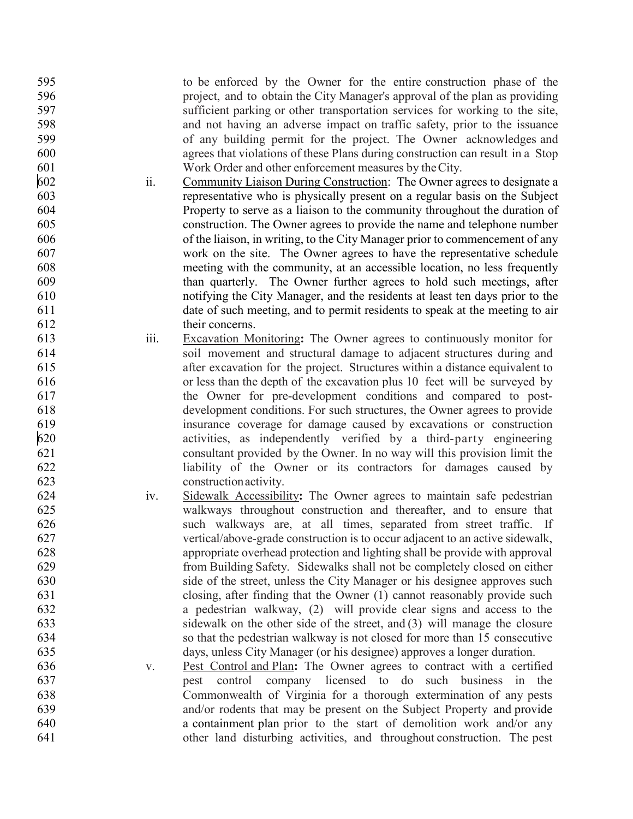to be enforced by the Owner for the entire construction phase of the project, and to obtain the City Manager's approval of the plan as providing sufficient parking or other transportation services for working to the site, and not having an adverse impact on traffic safety, prior to the issuance of any building permit for the project. The Owner acknowledges and agrees that violations of these Plans during construction can result in a Stop Work Order and other enforcement measures by theCity.

- ii. Community Liaison During Construction: The Owner agrees to designate a representative who is physically present on a regular basis on the Subject Property to serve as a liaison to the community throughout the duration of construction. The Owner agrees to provide the name and telephone number of the liaison, in writing, to the City Manager prior to commencement of any work on the site. The Owner agrees to have the representative schedule meeting with the community, at an accessible location, no less frequently than quarterly. The Owner further agrees to hold such meetings, after notifying the City Manager, and the residents at least ten days prior to the date of such meeting, and to permit residents to speak at the meeting to air their concerns.
- iii. Excavation Monitoring **:** The Owner agrees to continuously monitor for soil movement and structural damage to adjacent structures during and after excavation for the project. Structures within a distance equivalent to or less than the depth of the excavation plus 10 feet will be surveyed by the Owner for pre -development conditions and compared to post - development conditions. For such structures, the Owner agrees to provide 619 insurance coverage for damage caused by excavations or construction<br>620 constructions activities, as independently verified by a third-party engineering activities, as independently verified by a third -party engineering consultant provided by the Owner. In no way will this provision limit the liability of the Owner or its contractors for damages caused by constructionactivity.
- iv. Sidewalk Accessibility **:** The Owner agrees to maintain safe pedestrian walkways throughout construction and thereafter, and to ensure that such walkways are, at all times, separated from street traffic. If vertical/above -grade construction is to occur adjacent to an active sidewalk, appropriate overhead protection and lighting shall be provide with approval from Building Safety. Sidewalks shall not be completely closed on either side of the street, unless the City Manager or his designee approves such closing, after finding that the Owner (1) cannot reasonably provide such a pedestrian walkway, (2) will provide clear signs and access to the sidewalk on the other side of the street, and (3) will manage the closure so that the pedestrian walkway is not closed for more than 15 consecutive days, unless City Manager (or his designee) approves a longer duration .
- v. Pest Control and Plan **:** The Owner agrees to contract with a certified pest control company licensed to do such business in the Commonwealth of Virginia for a thorough extermination of any pests and/or rodents that may be present on the Subject Property and provide a containment plan prior to the start of demolition work and/or any other land disturbing activities, and throughout construction. The pest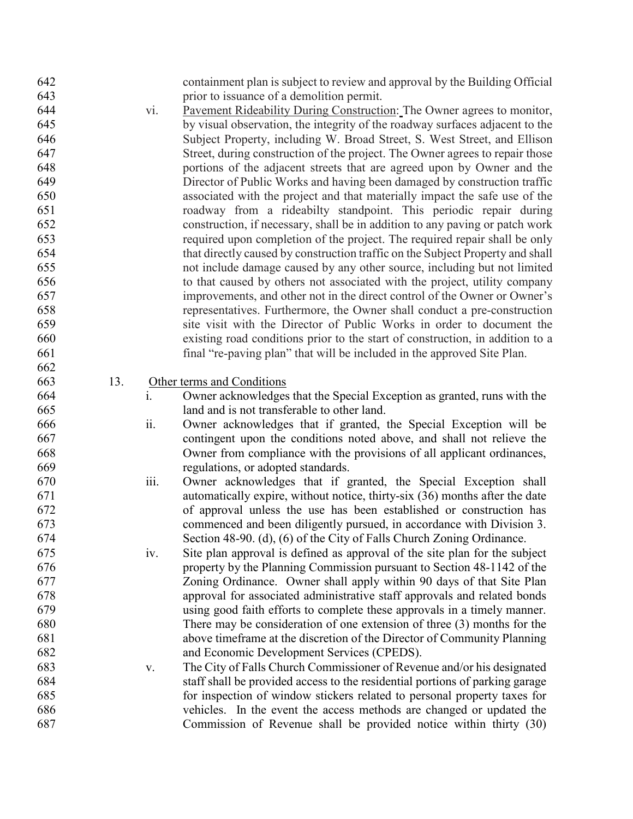| 643<br>prior to issuance of a demolition permit.<br>644<br>Pavement Rideability During Construction: The Owner agrees to monitor,<br>vi.<br>645<br>by visual observation, the integrity of the roadway surfaces adjacent to the<br>646<br>Subject Property, including W. Broad Street, S. West Street, and Ellison<br>647<br>Street, during construction of the project. The Owner agrees to repair those<br>648<br>portions of the adjacent streets that are agreed upon by Owner and the |  |
|--------------------------------------------------------------------------------------------------------------------------------------------------------------------------------------------------------------------------------------------------------------------------------------------------------------------------------------------------------------------------------------------------------------------------------------------------------------------------------------------|--|
|                                                                                                                                                                                                                                                                                                                                                                                                                                                                                            |  |
|                                                                                                                                                                                                                                                                                                                                                                                                                                                                                            |  |
|                                                                                                                                                                                                                                                                                                                                                                                                                                                                                            |  |
|                                                                                                                                                                                                                                                                                                                                                                                                                                                                                            |  |
|                                                                                                                                                                                                                                                                                                                                                                                                                                                                                            |  |
|                                                                                                                                                                                                                                                                                                                                                                                                                                                                                            |  |
| 649<br>Director of Public Works and having been damaged by construction traffic                                                                                                                                                                                                                                                                                                                                                                                                            |  |
| 650<br>associated with the project and that materially impact the safe use of the                                                                                                                                                                                                                                                                                                                                                                                                          |  |
| 651<br>roadway from a rideabilty standpoint. This periodic repair during                                                                                                                                                                                                                                                                                                                                                                                                                   |  |
| 652<br>construction, if necessary, shall be in addition to any paving or patch work                                                                                                                                                                                                                                                                                                                                                                                                        |  |
| 653<br>required upon completion of the project. The required repair shall be only                                                                                                                                                                                                                                                                                                                                                                                                          |  |
| 654<br>that directly caused by construction traffic on the Subject Property and shall                                                                                                                                                                                                                                                                                                                                                                                                      |  |
| 655<br>not include damage caused by any other source, including but not limited                                                                                                                                                                                                                                                                                                                                                                                                            |  |
| 656<br>to that caused by others not associated with the project, utility company                                                                                                                                                                                                                                                                                                                                                                                                           |  |
| 657<br>improvements, and other not in the direct control of the Owner or Owner's                                                                                                                                                                                                                                                                                                                                                                                                           |  |
| 658<br>representatives. Furthermore, the Owner shall conduct a pre-construction                                                                                                                                                                                                                                                                                                                                                                                                            |  |
| 659<br>site visit with the Director of Public Works in order to document the                                                                                                                                                                                                                                                                                                                                                                                                               |  |
| 660<br>existing road conditions prior to the start of construction, in addition to a                                                                                                                                                                                                                                                                                                                                                                                                       |  |
| 661<br>final "re-paving plan" that will be included in the approved Site Plan.                                                                                                                                                                                                                                                                                                                                                                                                             |  |
| 662                                                                                                                                                                                                                                                                                                                                                                                                                                                                                        |  |
| 663<br>13.<br>Other terms and Conditions                                                                                                                                                                                                                                                                                                                                                                                                                                                   |  |
| $\mathbf{i}$ .<br>664<br>Owner acknowledges that the Special Exception as granted, runs with the                                                                                                                                                                                                                                                                                                                                                                                           |  |
| 665<br>land and is not transferable to other land.                                                                                                                                                                                                                                                                                                                                                                                                                                         |  |
| ii.<br>666<br>Owner acknowledges that if granted, the Special Exception will be                                                                                                                                                                                                                                                                                                                                                                                                            |  |
| 667<br>contingent upon the conditions noted above, and shall not relieve the                                                                                                                                                                                                                                                                                                                                                                                                               |  |
| 668<br>Owner from compliance with the provisions of all applicant ordinances,                                                                                                                                                                                                                                                                                                                                                                                                              |  |
| 669<br>regulations, or adopted standards.                                                                                                                                                                                                                                                                                                                                                                                                                                                  |  |
| iii.<br>670<br>Owner acknowledges that if granted, the Special Exception shall                                                                                                                                                                                                                                                                                                                                                                                                             |  |
| 671<br>automatically expire, without notice, thirty-six (36) months after the date                                                                                                                                                                                                                                                                                                                                                                                                         |  |
| of approval unless the use has been established or construction has<br>672                                                                                                                                                                                                                                                                                                                                                                                                                 |  |
| 673<br>commenced and been diligently pursued, in accordance with Division 3.                                                                                                                                                                                                                                                                                                                                                                                                               |  |
| Section 48-90. (d), (6) of the City of Falls Church Zoning Ordinance.<br>674                                                                                                                                                                                                                                                                                                                                                                                                               |  |
| 675<br>Site plan approval is defined as approval of the site plan for the subject<br>iv.                                                                                                                                                                                                                                                                                                                                                                                                   |  |
| 676<br>property by the Planning Commission pursuant to Section 48-1142 of the                                                                                                                                                                                                                                                                                                                                                                                                              |  |
| 677<br>Zoning Ordinance. Owner shall apply within 90 days of that Site Plan                                                                                                                                                                                                                                                                                                                                                                                                                |  |
| 678<br>approval for associated administrative staff approvals and related bonds                                                                                                                                                                                                                                                                                                                                                                                                            |  |
| 679<br>using good faith efforts to complete these approvals in a timely manner.                                                                                                                                                                                                                                                                                                                                                                                                            |  |
| 680<br>There may be consideration of one extension of three $(3)$ months for the                                                                                                                                                                                                                                                                                                                                                                                                           |  |
| 681<br>above timeframe at the discretion of the Director of Community Planning                                                                                                                                                                                                                                                                                                                                                                                                             |  |
| 682<br>and Economic Development Services (CPEDS).                                                                                                                                                                                                                                                                                                                                                                                                                                          |  |
| 683<br>The City of Falls Church Commissioner of Revenue and/or his designated<br>$\mathbf{V}$ .                                                                                                                                                                                                                                                                                                                                                                                            |  |
| 684<br>staff shall be provided access to the residential portions of parking garage                                                                                                                                                                                                                                                                                                                                                                                                        |  |
|                                                                                                                                                                                                                                                                                                                                                                                                                                                                                            |  |
| 685                                                                                                                                                                                                                                                                                                                                                                                                                                                                                        |  |
| for inspection of window stickers related to personal property taxes for<br>686<br>vehicles. In the event the access methods are changed or updated the                                                                                                                                                                                                                                                                                                                                    |  |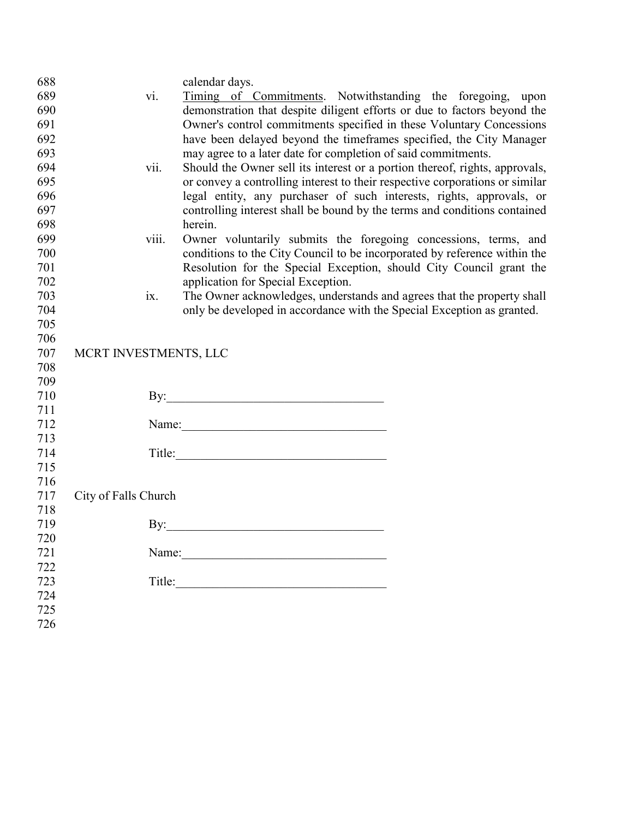| 689<br>Timing of Commitments. Notwithstanding the foregoing, upon<br>vi.<br>690<br>demonstration that despite diligent efforts or due to factors beyond the<br>691<br>Owner's control commitments specified in these Voluntary Concessions<br>have been delayed beyond the timeframes specified, the City Manager<br>692<br>693<br>may agree to a later date for completion of said commitments.<br>694<br>Should the Owner sell its interest or a portion thereof, rights, approvals,<br>vii.<br>or convey a controlling interest to their respective corporations or similar<br>695<br>696<br>legal entity, any purchaser of such interests, rights, approvals, or<br>697<br>controlling interest shall be bound by the terms and conditions contained<br>698<br>herein.<br>699<br>Owner voluntarily submits the foregoing concessions, terms, and<br>viii.<br>700<br>conditions to the City Council to be incorporated by reference within the<br>Resolution for the Special Exception, should City Council grant the<br>701<br>702<br>application for Special Exception.<br>703<br>The Owner acknowledges, understands and agrees that the property shall<br>ix.<br>704<br>only be developed in accordance with the Special Exception as granted.<br>705<br>706<br>707<br>MCRT INVESTMENTS, LLC<br>708<br>709<br>710<br>711<br>712<br>713<br>714<br>715 | 688 | calendar days. |
|-------------------------------------------------------------------------------------------------------------------------------------------------------------------------------------------------------------------------------------------------------------------------------------------------------------------------------------------------------------------------------------------------------------------------------------------------------------------------------------------------------------------------------------------------------------------------------------------------------------------------------------------------------------------------------------------------------------------------------------------------------------------------------------------------------------------------------------------------------------------------------------------------------------------------------------------------------------------------------------------------------------------------------------------------------------------------------------------------------------------------------------------------------------------------------------------------------------------------------------------------------------------------------------------------------------------------------------------------------------|-----|----------------|
|                                                                                                                                                                                                                                                                                                                                                                                                                                                                                                                                                                                                                                                                                                                                                                                                                                                                                                                                                                                                                                                                                                                                                                                                                                                                                                                                                             |     |                |
|                                                                                                                                                                                                                                                                                                                                                                                                                                                                                                                                                                                                                                                                                                                                                                                                                                                                                                                                                                                                                                                                                                                                                                                                                                                                                                                                                             |     |                |
|                                                                                                                                                                                                                                                                                                                                                                                                                                                                                                                                                                                                                                                                                                                                                                                                                                                                                                                                                                                                                                                                                                                                                                                                                                                                                                                                                             |     |                |
|                                                                                                                                                                                                                                                                                                                                                                                                                                                                                                                                                                                                                                                                                                                                                                                                                                                                                                                                                                                                                                                                                                                                                                                                                                                                                                                                                             |     |                |
|                                                                                                                                                                                                                                                                                                                                                                                                                                                                                                                                                                                                                                                                                                                                                                                                                                                                                                                                                                                                                                                                                                                                                                                                                                                                                                                                                             |     |                |
|                                                                                                                                                                                                                                                                                                                                                                                                                                                                                                                                                                                                                                                                                                                                                                                                                                                                                                                                                                                                                                                                                                                                                                                                                                                                                                                                                             |     |                |
|                                                                                                                                                                                                                                                                                                                                                                                                                                                                                                                                                                                                                                                                                                                                                                                                                                                                                                                                                                                                                                                                                                                                                                                                                                                                                                                                                             |     |                |
|                                                                                                                                                                                                                                                                                                                                                                                                                                                                                                                                                                                                                                                                                                                                                                                                                                                                                                                                                                                                                                                                                                                                                                                                                                                                                                                                                             |     |                |
|                                                                                                                                                                                                                                                                                                                                                                                                                                                                                                                                                                                                                                                                                                                                                                                                                                                                                                                                                                                                                                                                                                                                                                                                                                                                                                                                                             |     |                |
|                                                                                                                                                                                                                                                                                                                                                                                                                                                                                                                                                                                                                                                                                                                                                                                                                                                                                                                                                                                                                                                                                                                                                                                                                                                                                                                                                             |     |                |
|                                                                                                                                                                                                                                                                                                                                                                                                                                                                                                                                                                                                                                                                                                                                                                                                                                                                                                                                                                                                                                                                                                                                                                                                                                                                                                                                                             |     |                |
|                                                                                                                                                                                                                                                                                                                                                                                                                                                                                                                                                                                                                                                                                                                                                                                                                                                                                                                                                                                                                                                                                                                                                                                                                                                                                                                                                             |     |                |
|                                                                                                                                                                                                                                                                                                                                                                                                                                                                                                                                                                                                                                                                                                                                                                                                                                                                                                                                                                                                                                                                                                                                                                                                                                                                                                                                                             |     |                |
|                                                                                                                                                                                                                                                                                                                                                                                                                                                                                                                                                                                                                                                                                                                                                                                                                                                                                                                                                                                                                                                                                                                                                                                                                                                                                                                                                             |     |                |
|                                                                                                                                                                                                                                                                                                                                                                                                                                                                                                                                                                                                                                                                                                                                                                                                                                                                                                                                                                                                                                                                                                                                                                                                                                                                                                                                                             |     |                |
|                                                                                                                                                                                                                                                                                                                                                                                                                                                                                                                                                                                                                                                                                                                                                                                                                                                                                                                                                                                                                                                                                                                                                                                                                                                                                                                                                             |     |                |
|                                                                                                                                                                                                                                                                                                                                                                                                                                                                                                                                                                                                                                                                                                                                                                                                                                                                                                                                                                                                                                                                                                                                                                                                                                                                                                                                                             |     |                |
|                                                                                                                                                                                                                                                                                                                                                                                                                                                                                                                                                                                                                                                                                                                                                                                                                                                                                                                                                                                                                                                                                                                                                                                                                                                                                                                                                             |     |                |
|                                                                                                                                                                                                                                                                                                                                                                                                                                                                                                                                                                                                                                                                                                                                                                                                                                                                                                                                                                                                                                                                                                                                                                                                                                                                                                                                                             |     |                |
|                                                                                                                                                                                                                                                                                                                                                                                                                                                                                                                                                                                                                                                                                                                                                                                                                                                                                                                                                                                                                                                                                                                                                                                                                                                                                                                                                             |     |                |
|                                                                                                                                                                                                                                                                                                                                                                                                                                                                                                                                                                                                                                                                                                                                                                                                                                                                                                                                                                                                                                                                                                                                                                                                                                                                                                                                                             |     |                |
|                                                                                                                                                                                                                                                                                                                                                                                                                                                                                                                                                                                                                                                                                                                                                                                                                                                                                                                                                                                                                                                                                                                                                                                                                                                                                                                                                             |     |                |
|                                                                                                                                                                                                                                                                                                                                                                                                                                                                                                                                                                                                                                                                                                                                                                                                                                                                                                                                                                                                                                                                                                                                                                                                                                                                                                                                                             |     |                |
|                                                                                                                                                                                                                                                                                                                                                                                                                                                                                                                                                                                                                                                                                                                                                                                                                                                                                                                                                                                                                                                                                                                                                                                                                                                                                                                                                             |     |                |
|                                                                                                                                                                                                                                                                                                                                                                                                                                                                                                                                                                                                                                                                                                                                                                                                                                                                                                                                                                                                                                                                                                                                                                                                                                                                                                                                                             |     |                |
|                                                                                                                                                                                                                                                                                                                                                                                                                                                                                                                                                                                                                                                                                                                                                                                                                                                                                                                                                                                                                                                                                                                                                                                                                                                                                                                                                             |     |                |
|                                                                                                                                                                                                                                                                                                                                                                                                                                                                                                                                                                                                                                                                                                                                                                                                                                                                                                                                                                                                                                                                                                                                                                                                                                                                                                                                                             |     |                |
| 716                                                                                                                                                                                                                                                                                                                                                                                                                                                                                                                                                                                                                                                                                                                                                                                                                                                                                                                                                                                                                                                                                                                                                                                                                                                                                                                                                         |     |                |
| 717<br>City of Falls Church                                                                                                                                                                                                                                                                                                                                                                                                                                                                                                                                                                                                                                                                                                                                                                                                                                                                                                                                                                                                                                                                                                                                                                                                                                                                                                                                 |     |                |
| 718                                                                                                                                                                                                                                                                                                                                                                                                                                                                                                                                                                                                                                                                                                                                                                                                                                                                                                                                                                                                                                                                                                                                                                                                                                                                                                                                                         |     |                |
| By: $\qquad \qquad$<br>719                                                                                                                                                                                                                                                                                                                                                                                                                                                                                                                                                                                                                                                                                                                                                                                                                                                                                                                                                                                                                                                                                                                                                                                                                                                                                                                                  |     |                |
| 720                                                                                                                                                                                                                                                                                                                                                                                                                                                                                                                                                                                                                                                                                                                                                                                                                                                                                                                                                                                                                                                                                                                                                                                                                                                                                                                                                         |     |                |
| 721<br>Name:                                                                                                                                                                                                                                                                                                                                                                                                                                                                                                                                                                                                                                                                                                                                                                                                                                                                                                                                                                                                                                                                                                                                                                                                                                                                                                                                                |     |                |
| 722                                                                                                                                                                                                                                                                                                                                                                                                                                                                                                                                                                                                                                                                                                                                                                                                                                                                                                                                                                                                                                                                                                                                                                                                                                                                                                                                                         |     |                |
| 723<br>Title:                                                                                                                                                                                                                                                                                                                                                                                                                                                                                                                                                                                                                                                                                                                                                                                                                                                                                                                                                                                                                                                                                                                                                                                                                                                                                                                                               |     |                |
| 724                                                                                                                                                                                                                                                                                                                                                                                                                                                                                                                                                                                                                                                                                                                                                                                                                                                                                                                                                                                                                                                                                                                                                                                                                                                                                                                                                         |     |                |
| 725                                                                                                                                                                                                                                                                                                                                                                                                                                                                                                                                                                                                                                                                                                                                                                                                                                                                                                                                                                                                                                                                                                                                                                                                                                                                                                                                                         |     |                |
| 726                                                                                                                                                                                                                                                                                                                                                                                                                                                                                                                                                                                                                                                                                                                                                                                                                                                                                                                                                                                                                                                                                                                                                                                                                                                                                                                                                         |     |                |